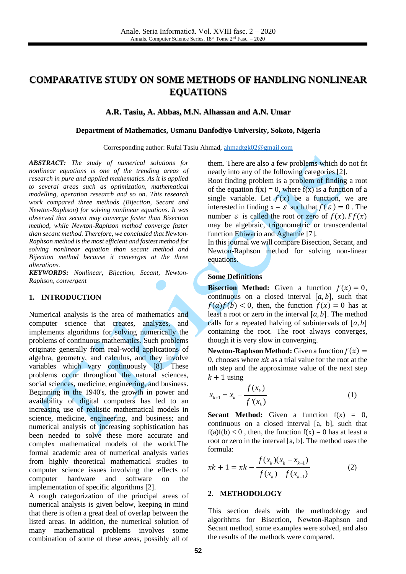# **COMPARATIVE STUDY ON SOME METHODS OF HANDLING NONLINEAR EQUATIONS**

#### **A.R. Tasiu, A. Abbas, M.N. Alhassan and A.N. Umar**

#### **Department of Mathematics, Usmanu Danfodiyo University, Sokoto, Nigeria**

Corresponding author: Rufai Tasiu Ahmad, [ahmadtgk02@gmail.com](mailto:ahmadtgk02@gmail.com)

*ABSTRACT: The study of numerical solutions for nonlinear equations is one of the trending areas of research in pure and applied mathematics. As it is applied to several areas such as optimization, mathematical modelling, operation research and so on. This research work compared three methods (Bijection, Secant and Newton-Raphson) for solving nonlinear equations. It was observed that secant may converge faster than Bisection method, while Newton-Raphson method converge faster than secant method. Therefore, we concluded that Newton-Raphson method is the most efficient and fastest method for solving nonlinear equation than secant method and Bijection method because it converges at the three alterations.*

*KEYWORDS: Nonlinear, Bijection, Secant, Newton-Raphson, convergent*

## **1. INTRODUCTION**

Numerical analysis is the area of mathematics and computer science that creates, analyzes, and implements algorithms for solving numerically the problems of continuous mathematics. Such problems originate generally from real-world applications of algebra, geometry, and calculus, and they involve variables which vary continuously [\[8\].](#page-3-0) These problems occur throughout the natural sciences, social sciences, medicine, engineering, and business. Beginning in the 1940's, the growth in power and availability of digital computers has led to an increasing use of realistic mathematical models in science, medicine, engineering, and business; and numerical analysis of increasing sophistication has been needed to solve these more accurate and complex mathematical models of the world.The formal academic area of numerical analysis varies from highly theoretical mathematical studies to computer science issues involving the effects of computer hardware and software on the implementation of specific algorithms [\[2\].](#page-3-1)

A rough categorization of the principal areas of numerical analysis is given below, keeping in mind that there is often a great deal of overlap between the listed areas. In addition, the numerical solution of many mathematical problems involves some combination of some of these areas, possibly all of

them. There are also a few problems which do not fit neatly into any of the following categories [\[2\].](#page-3-1)

Root finding problem is a problem of finding a root of the equation  $f(x) = 0$ , where  $f(x)$  is a function of a single variable. Let  $f(x)$  be a function, we are interested in finding  $x = \varepsilon$  such that  $f(\varepsilon) = 0$ . The number  $\varepsilon$  is called the root or zero of  $f(x)$ .  $Ff(x)$ may be algebraic, trigonometric or transcendental function Ehiwario and Aghamie [\[7\].](#page-3-2)

In this journal we will compare Bisection, Secant, and Newton-Raphson method for solving non-linear equations.

## **Some Definitions**

**Bisection Method:** Given a function  $f(x) = 0$ , continuous on a closed interval  $[a, b]$ , such that  $f(a)f(b) < 0$ , then, the function  $f(x) = 0$  has at least a root or zero in the interval  $[a, b]$ . The method calls for a repeated halving of subintervals of  $[a, b]$ containing the root. The root always converges, though it is very slow in converging.

**Newton-Raphson Method:** Given a function  $f(x) =$ 0, chooses where  $x \, k$  as a trial value for the root at the nth step and the approximate value of the next step  $k + 1$  using

$$
x_{k+1} = x_k - \frac{f(x_k)}{f'(x_k)}
$$
 (1)

**Secant Method:** Given a function  $f(x) = 0$ , continuous on a closed interval [a, b], such that  $f(a)f(b) < 0$ , then, the function  $f(x) = 0$  has at least a root or zero in the interval [a, b]. The method uses the formula:

$$
xk + 1 = xk - \frac{f(x_k)(x_k - x_{k-1})}{f(x_k) - f(x_{k-1})}
$$
 (2)

#### **2. METHODOLOGY**

This section deals with the methodology and algorithms for Bisection, Newton-Raphson and Secant method, some examples were solved, and also the results of the methods were compared.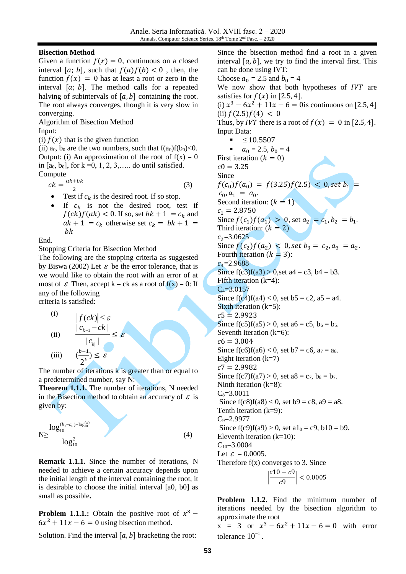## **Bisection Method**

Given a function  $f(x) = 0$ , continuous on a closed interval [a; b], such that  $f(a)f(b) < 0$ , then, the function  $f(x) = 0$  has at least a root or zero in the interval  $[a; b]$ . The method calls for a repeated halving of subintervals of  $[a, b]$  containing the root. The root always converges, though it is very slow in converging.

Algorithm of Bisection Method Input:

(i)  $f(x)$  that is the given function

(ii)  $a_0$ ,  $b_0$  are the two numbers, such that  $f(a_0)f(b_0) < 0$ . Output: (i) An approximation of the root of  $f(x) = 0$ in  $[a_0, b_0]$ , for  $k = 0, 1, 2, 3, \ldots$  do until satisfied. Compute

$$
ck = \frac{ak + bk}{2} \tag{3}
$$

- Test if  $c_k$  is the desired root. If so stop.
- If  $c_k$  is not the desired root, test if  $f(ck)f(ak) < 0$ . If so, set  $bk + 1 = c_k$  and  $ak + 1 = c_k$  otherwise set  $c_k = bk + 1 =$  $bk$

End.

Stopping Criteria for Bisection Method

The following are the stopping criteria as suggested by Biswa (2002) Let  $\varepsilon$  be the error tolerance, that is we would like to obtain the root with an error of at most of  $\varepsilon$  Then, accept k = ck as a root of  $f(x) = 0$ : If any of the following

criteria is satisfied:

(i)  
\n
$$
\begin{array}{ccc} \text{(i)} & |f(ck)| \leq \varepsilon \\ \text{(ii)} & \frac{|c_{k-1} - ck|}{|c_{k}|} \\ \text{(iii)} & \frac{\left(\frac{b-1}{2}\right) \leq \varepsilon}{2^k} \end{array}
$$

The number of iterations k is greater than or equal to a predetermined number, say N:

≤ ε

**Theorem 1.1.1.** The number of iterations, N needed in the Bisection method to obtain an accuracy of  $\varepsilon$  is given by:

$$
N \geq \frac{\log_{10}^{(b_0 - a_0) - \log_{10}^{(z)}}}{\log_{10}^2} \tag{4}
$$

**Remark 1.1.1.** Since the number of iterations, N needed to achieve a certain accuracy depends upon the initial length of the interval containing the root, it is desirable to choose the initial interval [a0, b0] as small as possible**.**

**Problem 1.1.1.:** Obtain the positive root of  $x^3$  –  $6x^2 + 11x - 6 = 0$  using bisection method.

Solution. Find the interval  $[a, b]$  bracketing the root:

Since the bisection method find a root in a given interval  $[a, b]$ , we try to find the interval first. This can be done using IVT: Choose  $a_0 = 2.5$  and  $b_0 = 4$ We now show that both hypotheses of  $IVT$  are satisfies for  $f(x)$  in [2.5, 4]. (i)  $x^3 - 6x^2 + 11x - 6 = 0$  is continuous on [2.5, 4] (ii)  $f(2.5)f(4) < 0$ Thus, by *IVT* there is a root of  $f(x) = 0$  in [2.5, 4]. Input Data:  $\leq 10.5507$  $a_0 = 2.5, b_0 = 4$ First iteration  $(k = 0)$  $c0 = 3.25$ Since  $f(c_0)f(a_0) = f(3.25)f(2.5) < 0$ , set  $b_1$  =  $c_0$ ,  $a_1 = a_0$ . Second iteration:  $(k = 1)$  $c_1 = 2.8750$ Since  $f(c_1)f(a_1) > 0$ , set  $a_2 = c_1, b_2 = b_1$ . Third iteration:  $(k = 2)$  $c_2 = 3.0625$ Since  $f(c_2)f(a_2) < 0$ , set  $b_3 = c_2, a_3 = a_2$ . Fourth iteration  $(k = 3)$ :  $c_3$ =2.9688 Since  $f(c3)f(a3) > 0$ , set  $a4 = c3$ ,  $b4 = b3$ . Fifth iteration  $(k=4)$ :  $C_4 = 3.0157$ Since  $f(c4) f(a4) < 0$ , set  $b5 = c2$ ,  $a5 = a4$ . Sixth iteration  $(k=5)$ :  $c5 = 2.9923$ Since  $f(c5)f(a5) > 0$ , set  $a6 = c5$ ,  $b_6 = b_5$ . Seventh iteration  $(k=6)$ :  $c6 = 3.004$ Since  $f(c6)f(a6) < 0$ , set  $b7 = c6$ ,  $a_7 = a_6$ . Eight iteration  $(k=7)$  $c7 = 2.9982$ Since  $f(c7)f(a7) > 0$ , set  $a8 = c_7$ ,  $b_8 = b_7$ . Ninth iteration (k=8):  $C_8 = 3.0011$ Since  $f(c8)f(a8) < 0$ , set  $b9 = c8$ ,  $a9 = a8$ . Tenth iteration  $(k=9)$ :  $C_9 = 2.9977$ Since  $f(c9)f(a9) > 0$ , set  $a1_0 = c9$ ,  $b10 = b9$ . Eleventh iteration  $(k=10)$ :  $C_{10}=3.0004$ Let  $\varepsilon = 0.0005$ . Therefore  $f(x)$  converges to 3. Since  $\frac{|c10 - c9|}{c}$  $\left| \frac{1}{c^9} \right| < 0.0005$ 

**Problem 1.1.2.** Find the minimum number of iterations needed by the bisection algorithm to approximate the root

 $x = 3$  or  $x^3 - 6x^2 + 11x - 6 = 0$  with error tolerance  $10^{-1}$ .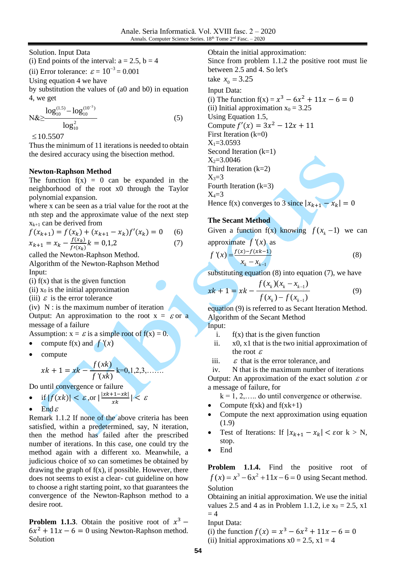Solution. Input Data

(i) End points of the interval:  $a = 2.5$ ,  $b = 4$ 

(ii) Error tolerance:  $\varepsilon = 10^{-3} = 0.001$ 

Using equation 4 we have

by substitution the values of (a0 and b0) in equation 4, we get

$$
N\&\geq \frac{\log_{10}^{(1.5)} - \log_{10}^{(10^{-3})}}{\log_{10}^{2}}
$$
 (5)

 $\leq 10.5507$ 

Thus the minimum of 11 iterations is needed to obtain the desired accuracy using the bisection method.

# **Newton-Raphson Method**

The function  $f(x) = 0$  can be expanded in the neighborhood of the root x0 through the Taylor polynomial expansion.

where x can be seen as a trial value for the root at the nth step and the approximate value of the next step  $x_{k+1}$  can be derived from

$$
f(x_{k+1}) = f(x_k) + (x_{k+1} - x_k) f'(x_k) = 0
$$
 (6)  

$$
x_{k+1} = x_k - \frac{f(x_k)}{f'(x_k)} k = 0, 1, 2
$$
 (7)

called the Newton-Raphson Method. Algorithm of the Newton-Raphson Method Input:

- $(i)$  f(x) that is the given function
- (ii)  $x_0$  is the initial approximation

(iii)  $\varepsilon$  is the error tolerance

 $(iv)$  N : is the maximum number of iteration Output: An approximation to the root  $x = \varepsilon$  or a message of a failure

- Assumption:  $x = \varepsilon$  is a simple root of  $f(x) = 0$ .
- compute  $f(x)$  and  $f'(x)$
- compute

$$
xk + 1 = xk - \frac{f(xk)}{f'(xk)}k = 0, 1, 2, 3, .......
$$

Do until convergence or failure

• if 
$$
|f(xk)| < \varepsilon
$$
, or  $|\frac{|xk+1-xk|}{xk}| < \varepsilon$ 

• End  $\varepsilon$ 

Remark 1.1.2 If none of the above criteria has been satisfied, within a predetermined, say, N iteration, then the method has failed after the prescribed number of iterations. In this case, one could try the method again with a different xo. Meanwhile, a judicious choice of xo can sometimes be obtained by drawing the graph of  $f(x)$ , if possible. However, there does not seems to exist a clear- cut guideline on how to choose a right starting point, xo that guarantees the convergence of the Newton-Raphson method to a desire root.

**Problem 1.1.3**. Obtain the positive root of  $x^3$  –  $6x^2 + 11x - 6 = 0$  using Newton-Raphson method. Solution

Obtain the initial approximation: Since from problem 1.1.2 the positive root must lie between 2.5 and 4. So let's take  $x_0 = 3.25$ Input Data: (i) The function  $f(x) = x^3 - 6x^2 + 11x - 6 = 0$ (ii) Initial approximation  $x_0 = 3.25$ Using Equation 1.5, Compute  $f'(x) = 3x^2 - 12x + 11$ First Iteration (k=0)  $X_1 = 3.0593$ Second Iteration (k=1)  $X_2 = 3.0046$ Third Iteration (k=2)  $X_3=3$ Fourth Iteration (k=3)  $X_4=3$ 

Hence f(x) converges to 3 since  $|x_{k+1} - x_k| = 0$ 

## **The Secant Method**

Given a function  $f(x)$  knowing  $f(x_k - 1)$  we can

approximate 
$$
f'(x)
$$
 as  
\n
$$
f'(x) = \frac{f(x) - f(xk-1)}{x_k - x_{k-1}}
$$
\n(8)

substituting equation  $(8)$  into equation  $(7)$ , we have

$$
xk + 1 = xk - \frac{f(x_k)(x_k - x_{k-1})}{f(x_k) - f(x_{k-1})}
$$
(9)

equation (9) is referred to as Secant Iteration Method. Algorithm of the Secant Method Input:

- i.  $f(x)$  that is the given function
- ii. x0, x1 that is the two initial approximation of the root  $\varepsilon$
- iii.  $\varepsilon$  that is the error tolerance, and

iv. N that is the maximum number of iterations

Output: An approximation of the exact solution  $\varepsilon$  or a message of failure, for

 $k = 1, 2, \ldots$  do until convergence or otherwise.

- Compute  $f(xk)$  and  $f(xk+1)$
- Compute the next approximation using equation (1.9)
- Test of Iterations: If  $|x_{k+1} x_k| < \varepsilon$ or  $k > N$ , stop.
- End

**Problem 1.1.4.** Find the positive root of  $f(x) = x^3 - 6x^2 + 11x - 6 = 0$  using Secant method. Solution

Obtaining an initial approximation. We use the initial values 2.5 and 4 as in Problem 1.1.2, i.e  $x_0 = 2.5$ , x1  $= 4$ 

Input Data:

(i) the function  $f(x) = x^3 - 6x^2 + 11x - 6 = 0$ (ii) Initial approximations  $x0 = 2.5$ ,  $x1 = 4$